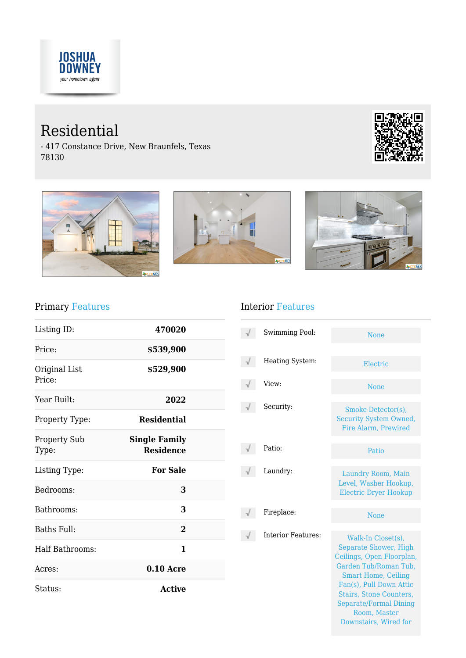# Residential

**JOSHUA<br>DOWNEY** 

your hometown agent

- 417 Constance Drive, New Braunfels, Texas 78130







i.



## Primary Features

| Listing ID:                  | 470020                                   |  |
|------------------------------|------------------------------------------|--|
| Price:                       | \$539,900                                |  |
| Original List<br>Price:      | \$529,900                                |  |
| Year Built:                  | 2022                                     |  |
| Property Type:               | <b>Residential</b>                       |  |
| <b>Property Sub</b><br>Type: | <b>Single Family</b><br><b>Residence</b> |  |
| Listing Type:                | <b>For Sale</b>                          |  |
| Bedrooms:                    | 3                                        |  |
| Bathrooms:                   | 3                                        |  |
| Baths Full:                  | $\overline{2}$                           |  |
| Half Bathrooms:              | 1                                        |  |
| Acres:                       | $0.10$ Acre                              |  |
| Status:                      | <b>Active</b>                            |  |

### Interior Features

| Swimming Pool:            | <b>None</b>                                                                                                                                                                                                                                              |
|---------------------------|----------------------------------------------------------------------------------------------------------------------------------------------------------------------------------------------------------------------------------------------------------|
| Heating System:           | Electric                                                                                                                                                                                                                                                 |
| View:                     | None                                                                                                                                                                                                                                                     |
| Security:                 | Smoke Detector(s),<br><b>Security System Owned,</b><br>Fire Alarm, Prewired                                                                                                                                                                              |
| Patio:                    | Patio                                                                                                                                                                                                                                                    |
| Laundry:                  | Laundry Room, Main<br>Level, Washer Hookup,<br><b>Electric Dryer Hookup</b>                                                                                                                                                                              |
| Fireplace:                | <b>None</b>                                                                                                                                                                                                                                              |
| <b>Interior Features:</b> | Walk-In Closet(s),<br>Separate Shower, High<br>Ceilings, Open Floorplan,<br>Garden Tub/Roman Tub,<br><b>Smart Home, Ceiling</b><br>Fan(s), Pull Down Attic<br>Stairs, Stone Counters,<br>Separate/Formal Dining<br>Room, Master<br>Downstairs, Wired for |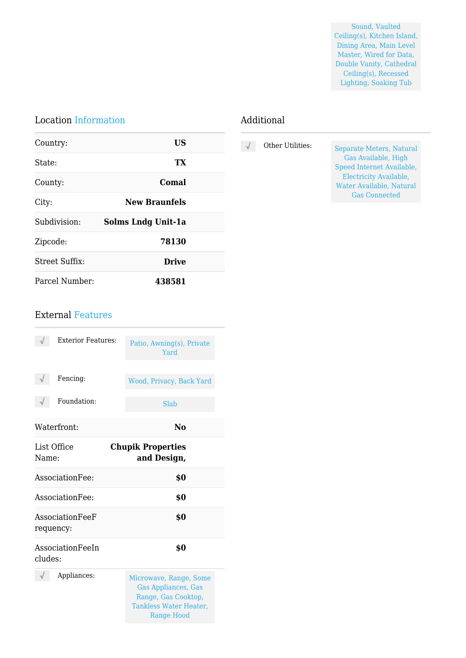Sound, Vaulted Ceiling(s), Kitchen Island, Dining Area, Main Level Master, Wired for Data, Double Vanity, Cathedral Ceiling(s), Recessed Lighting, Soaking Tub

#### Location Information

| Country:              | <b>US</b>            |  |
|-----------------------|----------------------|--|
| State:                | TX                   |  |
| County:               | Comal                |  |
| City:                 | <b>New Braunfels</b> |  |
| Subdivision:          | Solms Lndg Unit-1a   |  |
| Zipcode:              | 78130                |  |
| <b>Street Suffix:</b> | <b>Drive</b>         |  |
| Parcel Number:        | 438581               |  |

#### Additional

| Other Utilities: | Separate Meters, Natural<br>Gas Available, High<br>Speed Internet Available,<br>Electricity Available, |
|------------------|--------------------------------------------------------------------------------------------------------|
|                  | Water Available, Natural<br><b>Gas Connected</b>                                                       |
|                  |                                                                                                        |

#### External Features

| <b>Exterior Features:</b>    | Patio, Awning(s), Private<br>Yard                                                                                   |  |
|------------------------------|---------------------------------------------------------------------------------------------------------------------|--|
| Fencing:                     | Wood, Privacy, Back Yard                                                                                            |  |
| Foundation:                  | Slab                                                                                                                |  |
| Waterfront:                  | No                                                                                                                  |  |
| List Office<br>Name:         | <b>Chupik Properties</b><br>and Design,                                                                             |  |
| Association Fee:             | \$0                                                                                                                 |  |
| AssociationFee:              | \$0                                                                                                                 |  |
| AssociationFeeF<br>requency: | \$0                                                                                                                 |  |
| AssociationFeeIn<br>cludes:  | \$0                                                                                                                 |  |
| Appliances:                  | Microwave, Range, Some<br><b>Gas Appliances, Gas</b><br>Range, Gas Cooktop,<br>Tankless Water Heater,<br>Range Hood |  |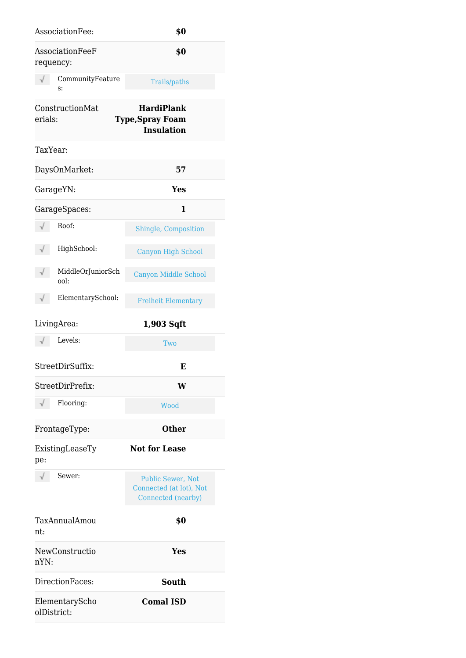| AssociationFee:               | \$0                                                                |
|-------------------------------|--------------------------------------------------------------------|
| AssociationFeeF<br>requency:  | \$0                                                                |
| CommunityFeature<br>s:        | <b>Trails/paths</b>                                                |
| ConstructionMat<br>erials:    | <b>HardiPlank</b><br><b>Type, Spray Foam</b><br><b>Insulation</b>  |
| TaxYear:                      |                                                                    |
| DaysOnMarket:                 | 57                                                                 |
| GarageYN:                     | Yes                                                                |
| GarageSpaces:                 | 1                                                                  |
| Roof:<br>$\sqrt{}$            | Shingle, Composition                                               |
| HighSchool:<br>√              | <b>Canyon High School</b>                                          |
| MiddleOrJuniorSch<br>ool:     | <b>Canyon Middle School</b>                                        |
| ElementarySchool:             | <b>Freiheit Elementary</b>                                         |
| LivingArea:                   | 1,903 Sqft                                                         |
| Levels:                       | Two                                                                |
| StreetDirSuffix:              | Е                                                                  |
| StreetDirPrefix:              | W                                                                  |
| Flooring:                     | Wood                                                               |
| FrontageType:                 | <b>Other</b>                                                       |
| ExistingLeaseTy<br>pe:        | <b>Not for Lease</b>                                               |
| Sewer:                        | Public Sewer, Not<br>Connected (at lot), Not<br>Connected (nearby) |
| TaxAnnualAmou<br>nt:          | \$0                                                                |
| NewConstructio<br>nYN:        | Yes                                                                |
| DirectionFaces:               | <b>South</b>                                                       |
| ElementaryScho<br>olDistrict: | <b>Comal ISD</b>                                                   |